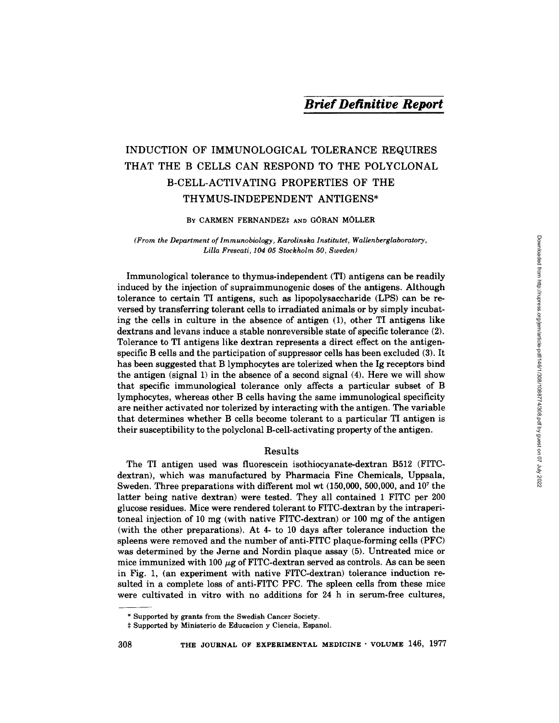# INDUCTION OF IMMUNOLOGICAL TOLERANCE REQUIRES THAT THE B CELLS CAN RESPOND TO THE POLYCLONAL B-CELL-ACTIVATING PROPERTIES OF THE THYMUS-INDEPENDENT ANTIGENS\*

BY CARMEN FERNANDEZ# AND GÖRAN MÖLLER

*(From the Department of Immunobiology, Karolinska Institutet, Wallenberglaboratory, Lilla Frescati, 104 05 Stockholm 50, Sweden)* 

Immunological tolerance to thymus-independent (TI) antigens can be readily induced by the injection of supraimmunogenic doses of the antigens. Although tolerance to certain TI antigens, such as lipopolysaccharide (LPS) can be reversed by transferring tolerant cells to irradiated animals or by simply incubating the cells in culture in the absence of antigen (1), other TI antigens like dextrans and levans induce a stable nonreversible state of specific tolerance (2). Tolerance to TI antigens like dextran represents a direct effect on the antigenspecific B cells and the participation of suppressor cells has been excluded (3). It has been suggested that B lymphocytes are tolerized when the Ig receptors bind the antigen (signal 1) in the absence of a second signal (4). Here we will show that specific immunological tolerance only affects a particular subset of B lymphocytes, whereas other B cells having the same immunological specificity are neither activated nor tolerized by interacting with the antigen. The variable that determines whether B cells become tolerant to a particular TI antigen is their susceptibility to the polyclonal B-cell-activating property of the antigen.

## Results

The TI antigen used was fluorescein isothiocyanate-dextran B512 (FITCdextran), which was manufactured by Pharmacia Fine Chemicals, Uppsala, Sweden. Three preparations with different mol wt  $(150,000, 500,000,$  and  $10<sup>7</sup>$  the latter being native dextran) were tested. They all contained 1 FITC per 200 glucose residues. Mice were rendered tolerant to FITC-dextran by the intraperitoneal injection of 10 mg (with native FITC-dextran) or 100 mg of the antigen (with the other preparations). At 4- to 10 days after tolerance induction the spleens were removed and the number of anti-FITC plaque-forming cells (PFC) was determined by the Jerne and Nordin plaque assay (5). Untreated mice or mice immunized with 100  $\mu$ g of FITC-dextran served as controls. As can be seen in Fig. 1, (an experiment with native FITC-dextran) tolerance induction resulted in a complete loss of anti-FITC PFC. The spleen cells from these mice were cultivated in vitro with no additions for 24 h in serum-free cultures,

<sup>\*</sup> Supported by grants from the Swedish Cancer Society.

Supported by Ministerio de Educacion y Ciencia, Espanol.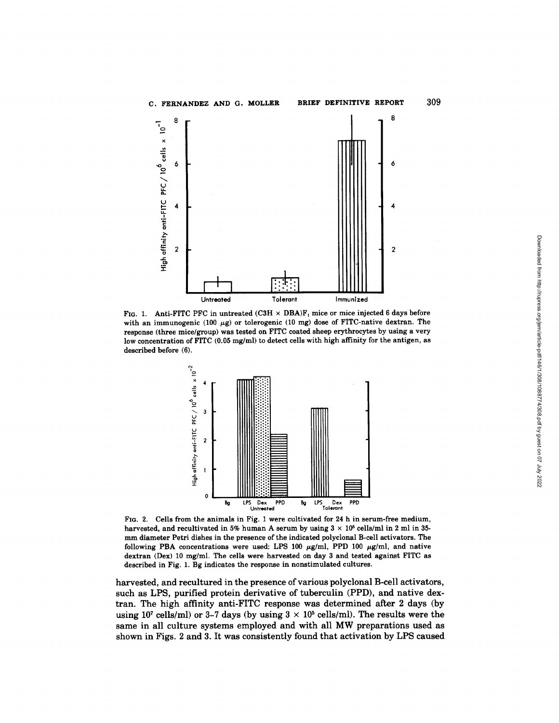

FIG. 1. Anti-FITC PFC in untreated (C3H  $\times$  DBA)F<sub>1</sub> mice or mice injected 6 days before with an immunogenic (100  $\mu$ g) or tolerogenic (10 mg) dose of FITC-native dextran. The **response (three mice/group) was tested on FITC coated sheep erythrocytes by using a very low concentration of FITC (0.05 mg/ml) to detect cells with high affinity for the antigen, as described before (6).** 



**FIG. 2. Cells from the animals in Fig. 1 were cultivated for 24 h in serum-free medium,**  harvested, and recultivated in 5% human A serum by using  $3 \times 10^5$  cells/ml in 2 ml in 35**mm diameter Petri dishes in the presence of the indicated polyclonal B-cell activators. The**  following PBA concentrations were used: LPS 100  $\mu$ g/ml, PPD 100  $\mu$ g/ml, and native **dextran (Dex) 10 mg/ml. The cells were harvested on day 3 and tested against FITC as described in Fig. 1. Bg indicates the response in nonstimulated cultures.** 

**harvested, and recultured in the presence of various polyclonal B-cell activators, such as LPS, purified protein derivative of tuberculin (PPD), and native dextran. The high affinity anti-FITC response was determined after 2 days (by**  using 10<sup>7</sup> cells/ml) or 3-7 days (by using  $3 \times 10^5$  cells/ml). The results were the **same in all culture systems employed and with all MW preparations used as shown in Figs. 2 and 3. It was consistently found that activation by LPS caused** 

**309**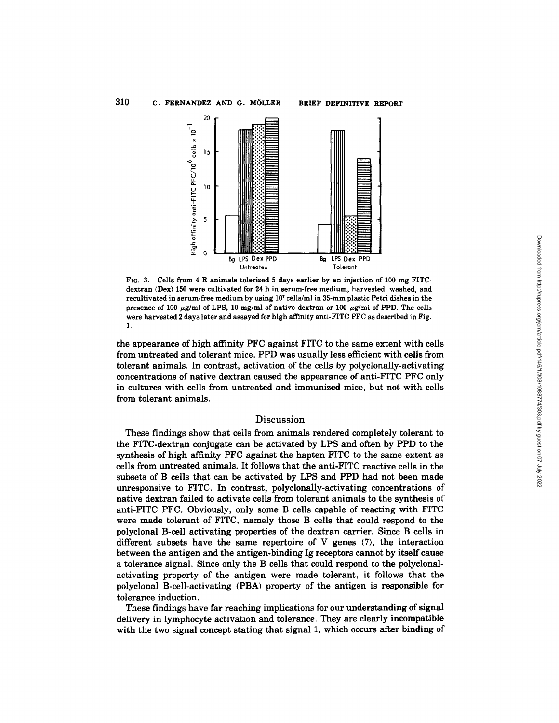

FIG. 3. Cells from 4 R animals tolerized 5 days earlier by an injection of i00 mg FITCdextran (Dex) 150 were cultivated for 24 h in serum-free medium, harvested, washed, and recultivated in serum-free medium by using 107 cells/ml in 35-mm plastic Petri dishes in the presence of 100  $\mu$ g/ml of LPS, 10 mg/ml of native dextran or 100  $\mu$ g/ml of PPD. The cells were harvested 2 days later and assayed for high affinity anti-FITC PFC as described in Fig. 1.

the appearance of high affinity PFC against FITC to the same extent with cells from untreated and tolerant mice. PPD was usually less efficient with cells from tolerant animals. In contrast, activation of the cells by polyclonally-activating concentrations of native dextran caused the appearance of anti-FITC PFC only in cultures with cells from untreated and immunized mice, but not with cells from tolerant animals.

### Discussion

These findings show that cells from animals rendered completely tolerant to the FITC-dextran conjugate can be activated by LPS and often by PPD to the synthesis of high affinity PFC against the hapten FITC to the same extent as cells from untreated animals. It follows that the anti-FITC reactive cells in the subsets of B cells that can be activated by LPS and PPD had not been made unresponsive to FITC. In contrast, polyclonally-activating concentrations of native dextran failed to activate cells from tolerant animals to the synthesis of anti-FITC PFC. Obviously, only some B cells capable of reacting with FITC were made tolerant of FITC, namely those B cells that could respond to the polyclonal B-cell activating properties of the dextran carrier. Since B cells in different subsets have the same repertoire of  $V$  genes  $(7)$ , the interaction between the antigen and the antigen-binding Ig receptors cannot by itself cause a tolerance signal. Since only the B cells that could respond to the polyclonalactivating property of the antigen were made tolerant, it follows that the polyclonal B-cell-activating (PBA) property of the antigen is responsible for tolerance induction.

These findings have far reaching implications for our understanding of signal delivery in lymphocyte activation and tolerance. They are clearly incompatible with the two signal concept stating that signal 1, which occurs after binding of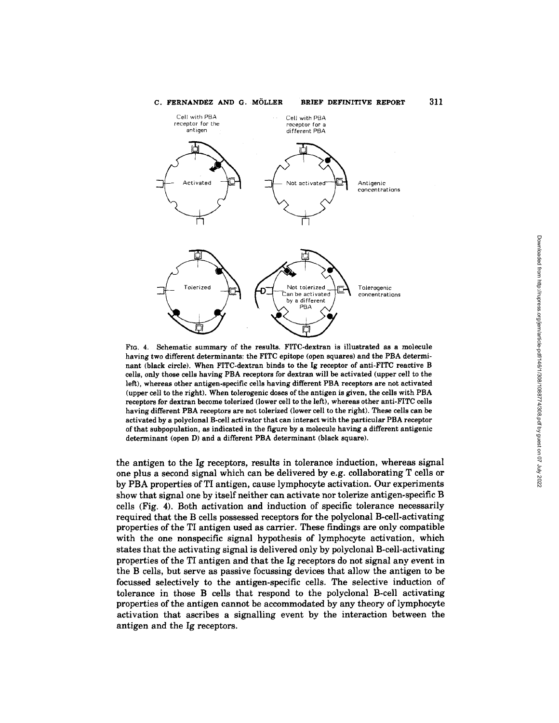

Fie. 4. Schematic summary of the results. FITC-dextran is illustrated as a molecule having two different determinants: the FITC epitope (open squares) and the PBA determinant (black circle). When FITC-dextran binds to the Ig receptor of anti-FITC reactive B cells, only those cells having PBA receptors for dextran will be activated (upper cell to the left), whereas other antigen-specific cells having different PBA receptors are not activated (upper cell to the right). When tolerogenic doses of the antigen is given, the cells with PBA receptors for dextran become tolerized (lower cell to the left), whereas other anti-FITC cells having different PBA receptors are not tolerized (lower cell to the right). These cells can be activated by a pelyclonal B-cell activator that can interact with the particular PBA receptor of that subpopulation, as indicated in the figure by a molecule having a different antigenic determinant (open D) and a different PBA determinant (black square).

the antigen to the Ig receptors, results in tolerance induction, whereas signal one plus a second signal which can be delivered by e.g. collaborating T cells or by PBA properties of TI antigen, cause lymphocyte activation. Our experiments show that signal one by itself neither can activate nor tolerize antigen-specific B cells (Fig. 4). Both activation and induction of specific tolerance necessarily required that the B cells possessed receptors for the polyclonal B-cell-activating properties of the TI antigen used as carrier. These findings are only compatible with the one nonspecific signal hypothesis of lymphocyte activation, which states that the activating signal is delivered only by polyclonal B-cell-activating properties of the TI antigen and that the Ig receptors do not signal any event in the B cells, but serve as passive focussing devices that allow the antigen to be focussed selectively to the antigen-specific cells. The selective induction of tolerance in those B cells that respond to the polyclonal B-cell activating properties of the antigen cannot be accommodated by any theory of lymphocyte activation that ascribes a signalling event by the interaction between the antigen and the Ig receptors.

Downloaded from http://rupress.org/jem/article-pdf/146/1/308/1088774/308.pdf by guest on 07 July 2022 Downloaded from http://rupress.org/jem/article-pdf/146/1/308/1088774/308.pdf by guest on 07 July 2022